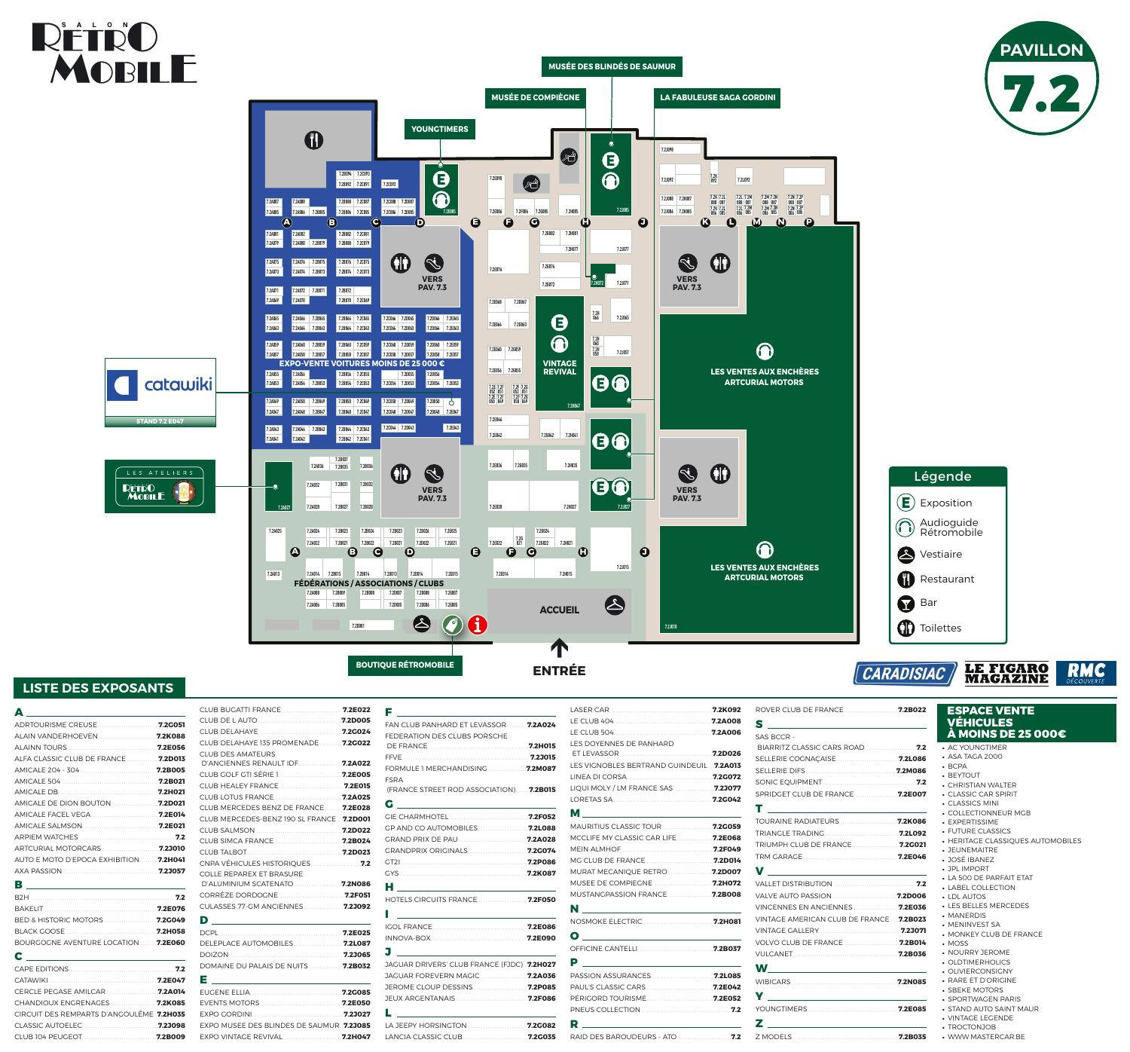**7.2D026 7.2E025 7.2D022 7.2E021** **7.2H027**

**7.2G035 7.2H035**

**7.2E014**

**7.2A006 7.2B005**

**7.2A008 7.2B009 7.2B008 7.2D007**

**7.2D005**

**7.2B014 7.2D013**

**7.2B022**

**7.2B021**

**7.2B027**

**7.2B031 7.2B035**

> **7.2D006 7.2D008 7.2E007 7.2E005**

 $\triangle$ 

**7.2D014**

**7.2A032**

**7.2A036**

**7.2J027**

60

**7.2J015**

 $\clubsuit$ 

**7.2J010**

**7.2B049 7.2A049 7.2A050 7.2A048 7.2B047**

**7.2A047 7.2A043 7.2A041**

-0

**7.2A044 7.2A042**

**7.2B023 7.2B024 7.2D023**

**7.2H041 7.2G042**

**7.2B057 7.2A058 7.2B059**

## RÉTRO<br>MOBILE **MUSÉE DES BLINDÉS DE SAUMUR MUSÉE DE COMPIÈGNE LA FABULEUSE SAGA GORDINI YOUNGTIMERS**  $\mathbf 0$  $\bullet$ Ä)  $\bigoplus$



**7.2A082**

**7.2B037**

**7.2B042 7.2C041**

**7.2A025 7.2A013 7.2B015 7.2A014 7.2A022 7.2A024 7.2A028 7.2A027 A B**

**7.2A054 7.2B053 7.2A056**

**7.2A086 7.2B085 7.2A088**

**7.2E015**

 $\bigodot$ 

**7.2D021**

OD

 $\bigodot$  **C D E F G H J LES VENTES AUX ENCHÈRES ARTCURIAL MOTORS** 

O

**7.2B028**

catawiki **STAND 7.2 E047**

**RÉTÉO<br>MOBILE** 

**7.2B032 7.2B036**

**7.2E028**

**7.2H015**

**7.2G024 7.2G022 7.2H021 7.2G**

**021**

**7.2E036**

**7.2A053 7.2A055**

**7.2E022**

**7.2A057 7.2A059 7.2A063 7.2A065**

**7.2A069 7.2A070 7.2A071**

**7.2A073 7.2A075**

**7.2A074 7.2A076 7.2B075 7.2B073**

**7.2A079 7.2A081**

**7.2A080 7.2B079**

**7.2A087**

**7.2D001**

**7.2B065 7.2A066 7.2A064 7.2B063**

> **VERS PAV. 7.3**

S

**VERS PAV. 7.3**

J

**FÉDÉRATIONS / ASSOCIATIONS / CLUBS**

**ENTRÉE**

1

**ACCUEIL**

| Δ<br><u> 1989 - Andrea Amerikaanse kommunister (</u> |  |
|------------------------------------------------------|--|
|                                                      |  |
|                                                      |  |
|                                                      |  |
| ALFA CLASSIC CLUB DE FRANCE <b>7.2D013</b>           |  |
|                                                      |  |
|                                                      |  |
|                                                      |  |
| AMICALE DE DION BOUTON <b>7.2D021</b>                |  |
|                                                      |  |
|                                                      |  |
|                                                      |  |
| ARTCURIAL MOTORCARS <b>MARKET 12010</b>              |  |
| AUTO E MOTO D'EPOCA EXHIBITION <b>7.2H041</b>        |  |
| AXA PASSION 2.23057                                  |  |
| в                                                    |  |
|                                                      |  |

LA JEEPY HORSINGTON .......................... . **7.2G082** ..**7.2H047** LANCIA CLASSIC CLUB.

| BED & HISTORIC MOTORS <b>7.2G049</b> |  |
|--------------------------------------|--|
|                                      |  |
| BOURGOGNE AVENTURE LOCATION 7.2E060  |  |
|                                      |  |

| <b>CHANDIOUX ENGRENAGES 7.2K085</b>       |  |
|-------------------------------------------|--|
| CIRCUIT DES REMPARTS D'ANGOULÊME. 7.2H035 |  |
| CLASSIC AUTOELEC <b>2008</b>              |  |
|                                           |  |
|                                           |  |

| CLUB BUGATTI FRANCE  7.2E022               |  |
|--------------------------------------------|--|
|                                            |  |
|                                            |  |
| CLUB DELAHAYE 135 PROMENADE 7.2G022        |  |
| <b>CLUB DES AMATEURS</b>                   |  |
| D'ANCIENNES RENAULT IDF 7.2A022            |  |
|                                            |  |
|                                            |  |
|                                            |  |
| CLUB MERCEDES BENZ DE FRANCE 7.2E028       |  |
| CLUB MERCEDES-BENZ 190 SL FRANCE. 7.2D001  |  |
|                                            |  |
|                                            |  |
|                                            |  |
|                                            |  |
| <b>COLLE REPAREX ET BRASURE</b>            |  |
|                                            |  |
|                                            |  |
|                                            |  |
|                                            |  |
|                                            |  |
|                                            |  |
|                                            |  |
| DOMAINE DU PALAIS DE NUITS 7.2B032         |  |
| <u> 1980 - Johann Barn, mars ann an t-</u> |  |
|                                            |  |
|                                            |  |
|                                            |  |
| EXPO MUSEE DES BLINDES DE SAUMUR. 7.2J085  |  |

# Audioguide Légende **Toilettes Bar Restaurant** Vestiaire  $(E)$  Exposition Rétromobile

CARADISIAC

**LE FIGARO<br>MAGAZINE** 



EXPO VINTAGE REVIVAL.......................... .**7.2H047**

| F __________________<br>FAN CLUB PANHARD ET LEVASSOR <b>7.2A024</b>                                                                                                                                                                  |  |
|--------------------------------------------------------------------------------------------------------------------------------------------------------------------------------------------------------------------------------------|--|
| FEDERATION DES CLUBS PORSCHE                                                                                                                                                                                                         |  |
|                                                                                                                                                                                                                                      |  |
|                                                                                                                                                                                                                                      |  |
| FORMULE 1 MERCHANDISING 7.2M087<br><b>FSRA</b>                                                                                                                                                                                       |  |
| (FRANCE STREET ROD ASSOCIATION) 7.2B015                                                                                                                                                                                              |  |
|                                                                                                                                                                                                                                      |  |
| <b>GIE CHARMHOTEL 1.2F052</b>                                                                                                                                                                                                        |  |
| GP AND CO AUTOMOBILES  7.2L088                                                                                                                                                                                                       |  |
| GRAND PRIX DE PAU  7.2A028                                                                                                                                                                                                           |  |
| GRANDPRIX ORIGINALS 7.2G074                                                                                                                                                                                                          |  |
|                                                                                                                                                                                                                                      |  |
|                                                                                                                                                                                                                                      |  |
|                                                                                                                                                                                                                                      |  |
| <b>HOTELS CIRCUITS FRANCE  7.2F050</b>                                                                                                                                                                                               |  |
| <u> 1986 - Jan Stern Stern Stern Stern Stern Stern Stern Stern Stern Stern Stern Stern Stern Stern Stern Stern Stern Stern Stern Stern Stern Stern Stern Stern Stern Stern Stern Stern Stern Stern Stern Stern Stern Stern Stern</u> |  |
|                                                                                                                                                                                                                                      |  |
|                                                                                                                                                                                                                                      |  |
| J ______________________                                                                                                                                                                                                             |  |
| JAGUAR DRIVERS' CLUB FRANCE (FJDC). 7.2H027                                                                                                                                                                                          |  |
| JAGUAR FOREVERN MAGIC  7.2A036                                                                                                                                                                                                       |  |
|                                                                                                                                                                                                                                      |  |
| JEUX ARGENTANAIS  7.2F086                                                                                                                                                                                                            |  |

|                                                                                                                                                                                                                                                                                                                                                                                                                        | ROVER CLUB DE FRANCE 7.2B022                                                                                                                                                                                                                                                                                                                        |  |
|------------------------------------------------------------------------------------------------------------------------------------------------------------------------------------------------------------------------------------------------------------------------------------------------------------------------------------------------------------------------------------------------------------------------|-----------------------------------------------------------------------------------------------------------------------------------------------------------------------------------------------------------------------------------------------------------------------------------------------------------------------------------------------------|--|
| LE CLUB 404 2.2A008                                                                                                                                                                                                                                                                                                                                                                                                    |                                                                                                                                                                                                                                                                                                                                                     |  |
|                                                                                                                                                                                                                                                                                                                                                                                                                        | SAS BCCR -                                                                                                                                                                                                                                                                                                                                          |  |
| LES DOYENNES DE PANHARD                                                                                                                                                                                                                                                                                                                                                                                                |                                                                                                                                                                                                                                                                                                                                                     |  |
|                                                                                                                                                                                                                                                                                                                                                                                                                        |                                                                                                                                                                                                                                                                                                                                                     |  |
| LES VIGNOBLES BERTRAND GUINDEUIL. 7.2A013                                                                                                                                                                                                                                                                                                                                                                              |                                                                                                                                                                                                                                                                                                                                                     |  |
|                                                                                                                                                                                                                                                                                                                                                                                                                        |                                                                                                                                                                                                                                                                                                                                                     |  |
| LIQUI MOLY / LM FRANCE SAS 7.2J077                                                                                                                                                                                                                                                                                                                                                                                     | SPRIDGET CLUB DE FRANCE 7.2E007                                                                                                                                                                                                                                                                                                                     |  |
| LORETAS SA 20042                                                                                                                                                                                                                                                                                                                                                                                                       | $\mathbf{T}$ , and the contract of the contract of $\mathbf{r}$                                                                                                                                                                                                                                                                                     |  |
|                                                                                                                                                                                                                                                                                                                                                                                                                        |                                                                                                                                                                                                                                                                                                                                                     |  |
|                                                                                                                                                                                                                                                                                                                                                                                                                        |                                                                                                                                                                                                                                                                                                                                                     |  |
| MCCLIFE MY CLASSIC CAR LIFE <b>7.2E068</b>                                                                                                                                                                                                                                                                                                                                                                             | TRIUMPH CLUB DE FRANCE 7.2G021                                                                                                                                                                                                                                                                                                                      |  |
| <b>MEIN ALMHOF 2.2F049</b>                                                                                                                                                                                                                                                                                                                                                                                             |                                                                                                                                                                                                                                                                                                                                                     |  |
|                                                                                                                                                                                                                                                                                                                                                                                                                        |                                                                                                                                                                                                                                                                                                                                                     |  |
| MURAT MECANIQUE RETRO <b>7.2D007</b>                                                                                                                                                                                                                                                                                                                                                                                   | $\begin{picture}(180,10) \put(0,0){\line(1,0){10}} \put(10,0){\line(1,0){10}} \put(10,0){\line(1,0){10}} \put(10,0){\line(1,0){10}} \put(10,0){\line(1,0){10}} \put(10,0){\line(1,0){10}} \put(10,0){\line(1,0){10}} \put(10,0){\line(1,0){10}} \put(10,0){\line(1,0){10}} \put(10,0){\line(1,0){10}} \put(10,0){\line(1,0){10}} \put(10,0){\line($ |  |
| MUSEE DE COMPIEGNE <b>7.2H072</b>                                                                                                                                                                                                                                                                                                                                                                                      | VALLET DISTRIBUTION <b>7.2</b>                                                                                                                                                                                                                                                                                                                      |  |
|                                                                                                                                                                                                                                                                                                                                                                                                                        |                                                                                                                                                                                                                                                                                                                                                     |  |
| $\begin{picture}(20,20)(-0.0,0.0) \put(0,0){\dashbox{0.5}(5,0){ }} \thicklines \put(0,0){\dashbox{0.5}(5,0){ }} \thicklines \put(0,0){\dashbox{0.5}(5,0){ }} \thicklines \put(0,0){\dashbox{0.5}(5,0){ }} \thicklines \put(0,0){\dashbox{0.5}(5,0){ }} \thicklines \put(0,0){\dashbox{0.5}(5,0){ }} \thicklines \put(0,0){\dashbox{0.5}(5,0){ }} \thicklines \put(0,0){\dashbox{0.5}(5,0){ }} \thicklines \put(0,0){\$ | <b>VINCENNES EN ANCIENNES  7.2E036</b>                                                                                                                                                                                                                                                                                                              |  |
|                                                                                                                                                                                                                                                                                                                                                                                                                        | VINTAGE AMERICAN CLUB DE FRANCE. 7.2B023                                                                                                                                                                                                                                                                                                            |  |
|                                                                                                                                                                                                                                                                                                                                                                                                                        |                                                                                                                                                                                                                                                                                                                                                     |  |
|                                                                                                                                                                                                                                                                                                                                                                                                                        |                                                                                                                                                                                                                                                                                                                                                     |  |
|                                                                                                                                                                                                                                                                                                                                                                                                                        |                                                                                                                                                                                                                                                                                                                                                     |  |
| <b>P</b> _________________________                                                                                                                                                                                                                                                                                                                                                                                     | <b>W_____________________________</b>                                                                                                                                                                                                                                                                                                               |  |
| PASSION ASSURANCES 7.2L085                                                                                                                                                                                                                                                                                                                                                                                             |                                                                                                                                                                                                                                                                                                                                                     |  |
|                                                                                                                                                                                                                                                                                                                                                                                                                        |                                                                                                                                                                                                                                                                                                                                                     |  |
|                                                                                                                                                                                                                                                                                                                                                                                                                        |                                                                                                                                                                                                                                                                                                                                                     |  |
|                                                                                                                                                                                                                                                                                                                                                                                                                        |                                                                                                                                                                                                                                                                                                                                                     |  |

| LE CLUB 504 2.2A006                                                                                                                                                                                                                                                                                                                                                                                                         | SAS BCCR -                                                      |  |
|-----------------------------------------------------------------------------------------------------------------------------------------------------------------------------------------------------------------------------------------------------------------------------------------------------------------------------------------------------------------------------------------------------------------------------|-----------------------------------------------------------------|--|
| LES DOYENNES DE PANHARD                                                                                                                                                                                                                                                                                                                                                                                                     |                                                                 |  |
|                                                                                                                                                                                                                                                                                                                                                                                                                             |                                                                 |  |
| LES VIGNOBLES BERTRAND GUINDEUIL 7.2A013                                                                                                                                                                                                                                                                                                                                                                                    |                                                                 |  |
|                                                                                                                                                                                                                                                                                                                                                                                                                             |                                                                 |  |
| LIQUI MOLY / LM FRANCE SAS <b>7.2J077</b>                                                                                                                                                                                                                                                                                                                                                                                   | SPRIDGET CLUB DE FRANCE 7.2E007                                 |  |
| LORETAS SA 20042                                                                                                                                                                                                                                                                                                                                                                                                            |                                                                 |  |
| <u>M_____________________________</u>                                                                                                                                                                                                                                                                                                                                                                                       | $\mathbf{T}$ , and the contract of the contract of $\mathbf{r}$ |  |
| MAURITIUS CLASSIC TOUR <b>7.2G059</b>                                                                                                                                                                                                                                                                                                                                                                                       |                                                                 |  |
| MCCLIFE MY CLASSIC CAR LIFE 7.2E068                                                                                                                                                                                                                                                                                                                                                                                         |                                                                 |  |
|                                                                                                                                                                                                                                                                                                                                                                                                                             |                                                                 |  |
|                                                                                                                                                                                                                                                                                                                                                                                                                             |                                                                 |  |
| MURAT MECANIQUE RETRO <b>7.2D007</b>                                                                                                                                                                                                                                                                                                                                                                                        |                                                                 |  |
| MUSEE DE COMPIEGNE <b>7.2H072</b>                                                                                                                                                                                                                                                                                                                                                                                           |                                                                 |  |
|                                                                                                                                                                                                                                                                                                                                                                                                                             |                                                                 |  |
| $\begin{picture}(20,20) \put(0,0){\dashbox{0.5}(5,0){ }} \thicklines \put(0,0){\dashbox{0.5}(5,0){ }} \thicklines \put(0,0){\dashbox{0.5}(5,0){ }} \thicklines \put(0,0){\dashbox{0.5}(5,0){ }} \thicklines \put(0,0){\dashbox{0.5}(5,0){ }} \thicklines \put(0,0){\dashbox{0.5}(5,0){ }} \thicklines \put(0,0){\dashbox{0.5}(5,0){ }} \thicklines \put(0,0){\dashbox{0.5}(5,0){ }} \thicklines \put(0,0){\dashbox{0.5}(5,$ | VINCENNES EN ANCIENNES 7.2E036                                  |  |
|                                                                                                                                                                                                                                                                                                                                                                                                                             | VINTAGE AMERICAN CLUB DE FRANCE  7.2B023                        |  |
|                                                                                                                                                                                                                                                                                                                                                                                                                             | VINTAGE GALLERY <b>1999</b> 7.23071                             |  |
| $\begin{picture}(150,10) \put(0,0){\line(1,0){10}} \put(15,0){\line(1,0){10}} \put(15,0){\line(1,0){10}} \put(15,0){\line(1,0){10}} \put(15,0){\line(1,0){10}} \put(15,0){\line(1,0){10}} \put(15,0){\line(1,0){10}} \put(15,0){\line(1,0){10}} \put(15,0){\line(1,0){10}} \put(15,0){\line(1,0){10}} \put(15,0){\line(1,0){10}} \put(15,0){\line($                                                                         |                                                                 |  |
| OFFICINE CANTELLI<br>7.2B037                                                                                                                                                                                                                                                                                                                                                                                                |                                                                 |  |
| $\begin{picture}(180,10) \put(0,0){\line(1,0){10}} \put(10,0){\line(1,0){10}} \put(10,0){\line(1,0){10}} \put(10,0){\line(1,0){10}} \put(10,0){\line(1,0){10}} \put(10,0){\line(1,0){10}} \put(10,0){\line(1,0){10}} \put(10,0){\line(1,0){10}} \put(10,0){\line(1,0){10}} \put(10,0){\line(1,0){10}} \put(10,0){\line(1,0){10}} \put(10,0){\line($                                                                         | <b>W________________________________</b>                        |  |
|                                                                                                                                                                                                                                                                                                                                                                                                                             |                                                                 |  |
|                                                                                                                                                                                                                                                                                                                                                                                                                             |                                                                 |  |
|                                                                                                                                                                                                                                                                                                                                                                                                                             |                                                                 |  |
|                                                                                                                                                                                                                                                                                                                                                                                                                             |                                                                 |  |
|                                                                                                                                                                                                                                                                                                                                                                                                                             |                                                                 |  |
|                                                                                                                                                                                                                                                                                                                                                                                                                             |                                                                 |  |

| $\mathbf{w}$ and $\mathbf{w}$ |
|-------------------------------|
| <b>WIBICARS</b>               |
| $\mathbf{Y}$ and $\mathbf{Y}$ |
| OUNGTIMERS                    |
| $\mathbf{Z}$ and $\mathbf{Z}$ |
| <b>MODELS</b>                 |
|                               |

#### **ESPACE VENTE VÉHICULES À MOINS DE 25 000€**

- AC YOUNGTIMER
- ASA TAGA 2000
- BCPA
- BEYTOUT • CHRISTIAN WALTER
- CLASSIC CAR SPIRIT
- CLASSICS MINI
- COLLECTIONNEUR MGB
- EXPERTISSIME
- FUTURE CLASSICS
- HERITAGE CLASSIQUES AUTOMOBILES
- JEUNEMAITRE
- JOSÉ IBANEZ
- JPL IMPORT
- LA 500 DE PARFAIT ETAT
- LABEL COLLECTION • LDL AUTOS
- 
- LES BELLES MERCEDES • MANERDIS
- MENINVEST SA
- MONKEY CLUB DE FRANCE
- MOSS
- NOURRY JEROME
- OLDTIMERHOLICS
- OLIVIERCONSIGNY • RARE ET D'ORIGINE
- SBEKE MOTORS
- SPORTWAGEN PARIS
- STAND AUTO SAINT MAUR
- VINTAGE LEGENDE
- TROCTONJOB
- WWW.MASTERCAR.BE

**BOUTIQUE RÉTROMOBILE**



### **LISTE DES EXPOSANTS**